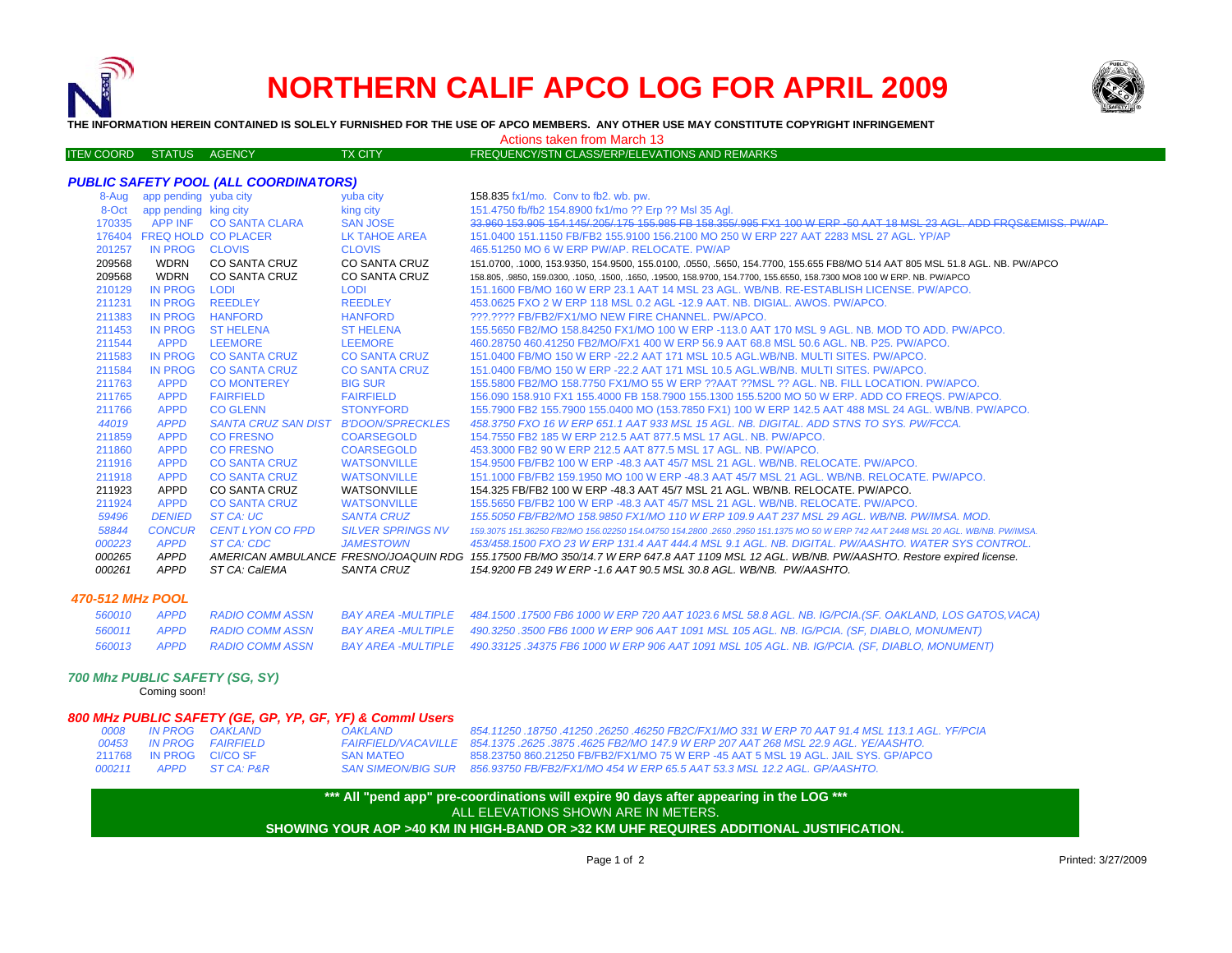

# **NORTHERN CALIF APCO LOG FOR APRIL 2009**



**THE INFORMATION HEREIN CONTAINED IS SOLELY FURNISHED FOR THE USE OF APCO MEMBERS. ANY OTHER USE MAY CONSTITUTE COPYRIGHT INFRINGEMENT**

#### Actions taken from March 13

|  | <b>ITEN COORD</b> | <b>STATUS</b> | <b>AGENCY</b> | <b>TX CITY \</b> | FREQUENCY/STN CLASS/ERP/ELEVATIONS AND REMARKS ' |
|--|-------------------|---------------|---------------|------------------|--------------------------------------------------|
|--|-------------------|---------------|---------------|------------------|--------------------------------------------------|

#### *PUBLIC SAFETY POOL (ALL COORDINATORS)*

| 8-Aug  | app pending yuba city      |                            | yuba city                | 158.835 fx1/mo. Conv to fb2. wb. pw.                                                                                                       |
|--------|----------------------------|----------------------------|--------------------------|--------------------------------------------------------------------------------------------------------------------------------------------|
| 8-Oct  | app pending king city      |                            | king city                | 151.4750 fb/fb2 154.8900 fx1/mo ?? Erp ?? Msl 35 Agl.                                                                                      |
| 170335 |                            | APP INF CO SANTA CLARA     | <b>SAN JOSE</b>          | 33.960 153.905 154.145/205/175 155.985 FB 158.355/995 FX1 100 W ERP-50 AAT 18 MSL 23 AGL. ADD FROS&EMISS, PW/AP                            |
|        | 176404 FREQ HOLD CO PLACER |                            | LK TAHOE AREA            | 151.0400 151.1150 FB/FB2 155.9100 156.2100 MO 250 W ERP 227 AAT 2283 MSL 27 AGL. YP/AP                                                     |
| 201257 | IN PROG CLOVIS             |                            | <b>CLOVIS</b>            | 465,51250 MO 6 W ERP PW/AP, RELOCATE, PW/AP                                                                                                |
| 209568 | <b>WDRN</b>                | <b>CO SANTA CRUZ</b>       | <b>CO SANTA CRUZ</b>     | 151.0700, .1000, 153.9350, 154.9500, 155.0100, .0550, .5650, 154.7700, 155.655 FB8/MO 514 AAT 805 MSL 51.8 AGL. NB. PW/APCO                |
| 209568 | <b>WDRN</b>                | CO SANTA CRUZ              | CO SANTA CRUZ            | 158.805, .9850, 159.0300, .1050, .1500, .1650, .19500, 158.9700, 154.7700, 155.6550, 158.7300 MO8 100 W ERP. NB. PW/APCO                   |
| 210129 | <b>IN PROG</b>             | LODI                       | <b>LODI</b>              | 151.1600 FB/MO 160 W ERP 23.1 AAT 14 MSL 23 AGL, WB/NB, RE-ESTABLISH LICENSE, PW/APCO,                                                     |
| 211231 | IN PROG                    | <b>REEDLEY</b>             | <b>REEDLEY</b>           | 453.0625 FXO 2 W ERP 118 MSL 0.2 AGL -12.9 AAT, NB, DIGIAL, AWOS, PW/APCO,                                                                 |
| 211383 | IN PROG                    | <b>HANFORD</b>             | <b>HANFORD</b>           | 222.2222 FB/FB2/FX1/MO NEW FIRE CHANNEL, PW/APCO.                                                                                          |
| 211453 | <b>IN PROG</b>             | <b>ST HELENA</b>           | <b>ST HELENA</b>         | 155,5650 FB2/MO 158,84250 FX1/MO 100 W ERP -113.0 AAT 170 MSL 9 AGL, NB, MOD TO ADD, PW/APCO,                                              |
| 211544 | <b>APPD</b>                | <b>LEEMORE</b>             | <b>LEEMORE</b>           | 460.28750 460.41250 FB2/MO/FX1 400 W ERP 56.9 AAT 68.8 MSL 50.6 AGL, NB, P25, PW/APCO,                                                     |
| 211583 | IN PROG                    | <b>CO SANTA CRUZ</b>       | <b>CO SANTA CRUZ</b>     | 151,0400 FB/MO 150 W ERP -22.2 AAT 171 MSL 10.5 AGL.WB/NB, MULTI SITES, PW/APCO,                                                           |
| 211584 | <b>IN PROG</b>             | <b>CO SANTA CRUZ</b>       | <b>CO SANTA CRUZ</b>     | 151,0400 FB/MO 150 W ERP -22.2 AAT 171 MSL 10.5 AGL.WB/NB, MULTI SITES, PW/APCO,                                                           |
| 211763 | <b>APPD</b>                | <b>CO MONTEREY</b>         | <b>BIG SUR</b>           | 155,5800 FB2/MO 158,7750 FX1/MO 55 W ERP ??AAT ??MSL ?? AGL, NB, FILL LOCATION, PW/APCO,                                                   |
| 211765 | <b>APPD</b>                | <b>FAIRFIELD</b>           | <b>FAIRFIELD</b>         | 156,090 158,910 FX1 155,4000 FB 158,7900 155,1300 155,5200 MO 50 W ERP. ADD CO FREQS, PW/APCO,                                             |
| 211766 | <b>APPD</b>                | <b>CO GLENN</b>            | <b>STONYFORD</b>         | 155.7900 FB2 155.7900 155.0400 MO (153.7850 FX1) 100 W ERP 142.5 AAT 488 MSL 24 AGL. WB/NB. PW/APCO.                                       |
| 44019  | <b>APPD</b>                | <b>SANTA CRUZ SAN DIST</b> | <b>B'DOON/SPRECKLES</b>  | 458.3750 FXO 16 W ERP 651.1 AAT 933 MSL 15 AGL. NB. DIGITAL. ADD STNS TO SYS. PW/FCCA.                                                     |
| 211859 | <b>APPD</b>                | CO FRESNO                  | <b>COARSEGOLD</b>        | 154.7550 FB2 185 W ERP 212.5 AAT 877.5 MSL 17 AGL, NB, PW/APCO,                                                                            |
| 211860 | <b>APPD</b>                | <b>CO FRESNO</b>           | <b>COARSEGOLD</b>        | 453,3000 FB2 90 W ERP 212.5 AAT 877.5 MSL 17 AGL, NB, PW/APCO,                                                                             |
| 211916 | <b>APPD</b>                | <b>CO SANTA CRUZ</b>       | <b>WATSONVILLE</b>       | 154,9500 FB/FB2 100 W ERP -48.3 AAT 45/7 MSL 21 AGL, WB/NB, RELOCATE, PW/APCO,                                                             |
| 211918 | <b>APPD</b>                | <b>CO SANTA CRUZ</b>       | <b>WATSONVILLE</b>       | 151.1000 FB/FB2 159.1950 MO 100 W ERP -48.3 AAT 45/7 MSL 21 AGL, WB/NB, RELOCATE, PW/APCO,                                                 |
| 211923 | APPD                       | <b>CO SANTA CRUZ</b>       | <b>WATSONVILLE</b>       | 154.325 FB/FB2 100 W ERP -48.3 AAT 45/7 MSL 21 AGL, WB/NB, RELOCATE, PW/APCO,                                                              |
| 211924 | <b>APPD</b>                | <b>CO SANTA CRUZ</b>       | <b>WATSONVILLE</b>       | 155,5650 FB/FB2 100 W ERP -48.3 AAT 45/7 MSL 21 AGL, WB/NB, RELOCATE, PW/APCO,                                                             |
| 59496  | <b>DENIED</b>              | ST CA: UC                  | <b>SANTA CRUZ</b>        | 155,5050 FB/FB2/MO 158,9850 FX1/MO 110 W ERP 109.9 AAT 237 MSL 29 AGL. WB/NB, PW/IMSA, MOD.                                                |
| 58844  | <b>CONCUR</b>              | <b>CENT LYON CO FPD</b>    | <b>SILVER SPRINGS NV</b> | 159,3075 151,36250 FB2/MO 156,02250 154,04750 154,2800 ,2650 ,2950 151,1375 MO 50 W ERP 742 AAT 2448 MSL 20 AGL, WB/NB, PW/IMSA,           |
| 000223 | <b>APPD</b>                | ST CA: CDC                 | <b>JAMESTOWN</b>         | 453/458.1500 FXO 23 W ERP 131.4 AAT 444.4 MSL 9.1 AGL. NB. DIGITAL. PW/AASHTO. WATER SYS CONTROL.                                          |
| 000265 | APPD                       |                            |                          | AMERICAN AMBULANCE FRESNO/JOAQUIN RDG 155.17500 FB/MO 350/14.7 W ERP 647.8 AAT 1109 MSL 12 AGL. WB/NB. PW/AASHTO. Restore expired license. |
| 000261 | <b>APPD</b>                | ST CA: CalEMA              | SANTA CRUZ               | 154.9200 FB 249 W ERP -1.6 AAT 90.5 MSL 30.8 AGL, WB/NB, PW/AASHTO,                                                                        |
|        |                            |                            |                          |                                                                                                                                            |

#### *470-512 MHz POOL*

|  |  | 560010 APPD RADIO COMM ASSN BAY AREA -MULTIPLE 484.1500 .17500 FB6 1000 W ERP 720 AAT 1023.6 MSL 58.8 AGL. NB. IG/PCIA.(SF. OAKLAND, LOS GATOS, VACA) |
|--|--|-------------------------------------------------------------------------------------------------------------------------------------------------------|
|  |  | 560011 APPD RADIO COMM ASSN BAY AREA -MULTIPLE 490.3250 .3500 FB6 1000 W ERP 906 AAT 1091 MSL 105 AGL. NB. IG/PCIA. (SF, DIABLO, MONUMENT)            |
|  |  | 560013 APPD RADIO COMM ASSN BAY AREA -MULTIPLE 490.33125 .34375 FB6 1000 W ERP 906 AAT 1091 MSL 105 AGL. NB. IG/PCIA. (SF, DIABLO, MONUMENT)          |

### *700 Mhz PUBLIC SAFETY (SG, SY)*

Coming soon!

## *800 MHz PUBLIC SAFETY (GE, GP, YP, GF, YF) & Comml Users*

| 0008   | IN PROG        | OAKLAND           |
|--------|----------------|-------------------|
| 00453  | <b>IN PROG</b> | <b>FAIRFIFI D</b> |
| 211768 | IN PROG        | CI/CO SF          |
| 000211 | APPD           | ST CA: P&R        |

 *IN PROG OAKLAND OAKLAND 854.11250 .18750 .41250 .26250 .46250 FB2C/FX1/MO 331 W ERP 70 AAT 91.4 MSL 113.1 AGL. YF/PCIA IN PROG FAIRFIELD FAIRFIELD/VACAVILLE 854.1375 .2625 .3875 .4625 FB2/MO 147.9 W ERP 207 AAT 268 MSL 22.9 AGL. YE/AASHTO.* IN PROG CI/CO SF SAN MATEO 858.23750 860.21250 FB/FB2/FX1/MO 75 W ERP -45 AAT 5 MSL 19 AGL. JAIL SYS. GP/APCO*APPD ST CA: P&R SAN SIMEON/BIG SUR 856.93750 FB/FB2/FX1/MO 454 W ERP 65.5 AAT 53.3 MSL 12.2 AGL. GP/AASHTO.*

> **\*\*\* All "pend app" pre-coordinations will expire 90 days after appearing in the LOG \*\*\* SHOWING YOUR AOP >40 KM IN HIGH-BAND OR >32 KM UHF REQUIRES ADDITIONAL JUSTIFICATION.**  ALL ELEVATIONS SHOWN ARE IN METERS.